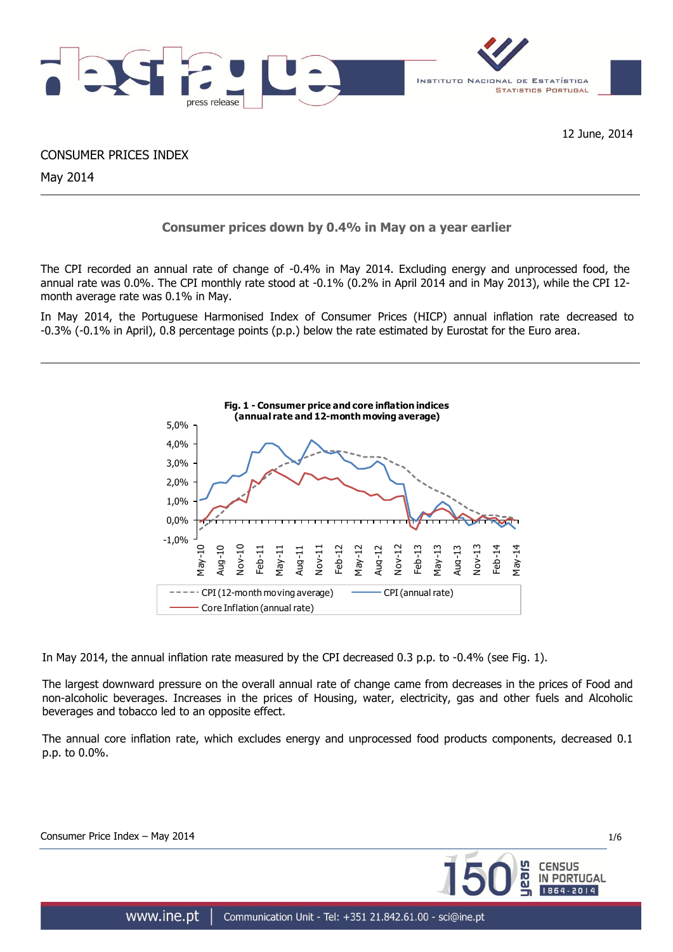

12 June, 2014

CONSUMER PRICES INDEX

May 2014

# **Consumer prices down by 0.4% in May on a year earlier**

The CPI recorded an annual rate of change of -0.4% in May 2014. Excluding energy and unprocessed food, the annual rate was 0.0%. The CPI monthly rate stood at -0.1% (0.2% in April 2014 and in May 2013), while the CPI 12 month average rate was 0.1% in May.

In May 2014, the Portuguese Harmonised Index of Consumer Prices (HICP) annual inflation rate decreased to -0.3% (-0.1% in April), 0.8 percentage points (p.p.) below the rate estimated by Eurostat for the Euro area.



In May 2014, the annual inflation rate measured by the CPI decreased 0.3 p.p. to -0.4% (see Fig. 1).

The largest downward pressure on the overall annual rate of change came from decreases in the prices of Food and non-alcoholic beverages. Increases in the prices of Housing, water, electricity, gas and other fuels and Alcoholic beverages and tobacco led to an opposite effect.

The annual core inflation rate, which excludes energy and unprocessed food products components, decreased 0.1 p.p. to 0.0%.

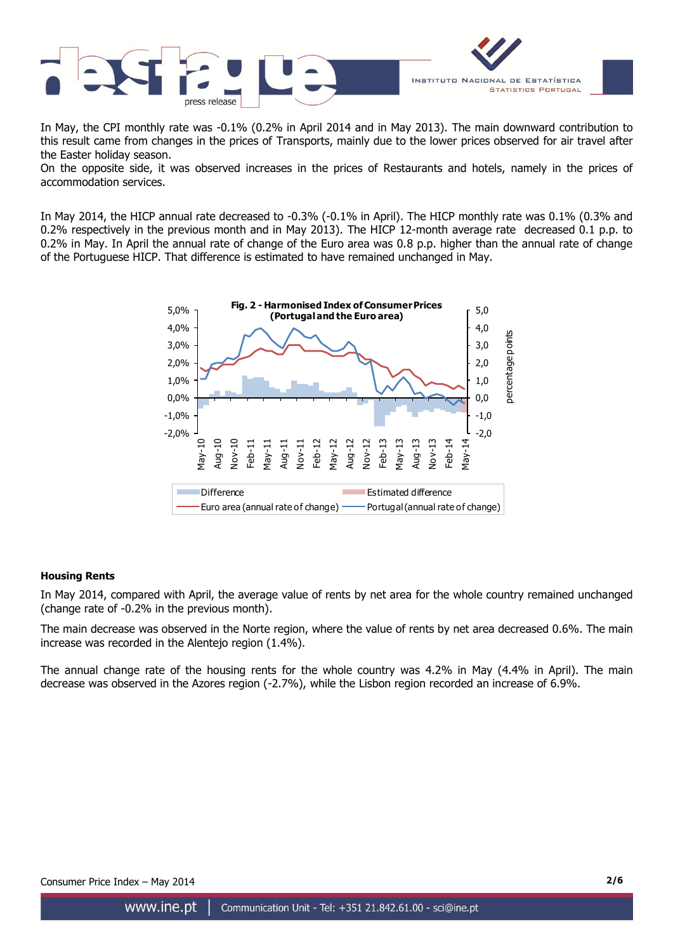

In May, the CPI monthly rate was -0.1% (0.2% in April 2014 and in May 2013). The main downward contribution to this result came from changes in the prices of Transports, mainly due to the lower prices observed for air travel after the Easter holiday season.

On the opposite side, it was observed increases in the prices of Restaurants and hotels, namely in the prices of accommodation services.

In May 2014, the HICP annual rate decreased to -0.3% (-0.1% in April). The HICP monthly rate was 0.1% (0.3% and 0.2% respectively in the previous month and in May 2013). The HICP 12-month average rate decreased 0.1 p.p. to 0.2% in May. In April the annual rate of change of the Euro area was 0.8 p.p. higher than the annual rate of change of the Portuguese HICP. That difference is estimated to have remained unchanged in May.



# **Housing Rents**

In May 2014, compared with April, the average value of rents by net area for the whole country remained unchanged (change rate of -0.2% in the previous month).

The main decrease was observed in the Norte region, where the value of rents by net area decreased 0.6%. The main increase was recorded in the Alentejo region (1.4%).

The annual change rate of the housing rents for the whole country was 4.2% in May (4.4% in April). The main decrease was observed in the Azores region (-2.7%), while the Lisbon region recorded an increase of 6.9%.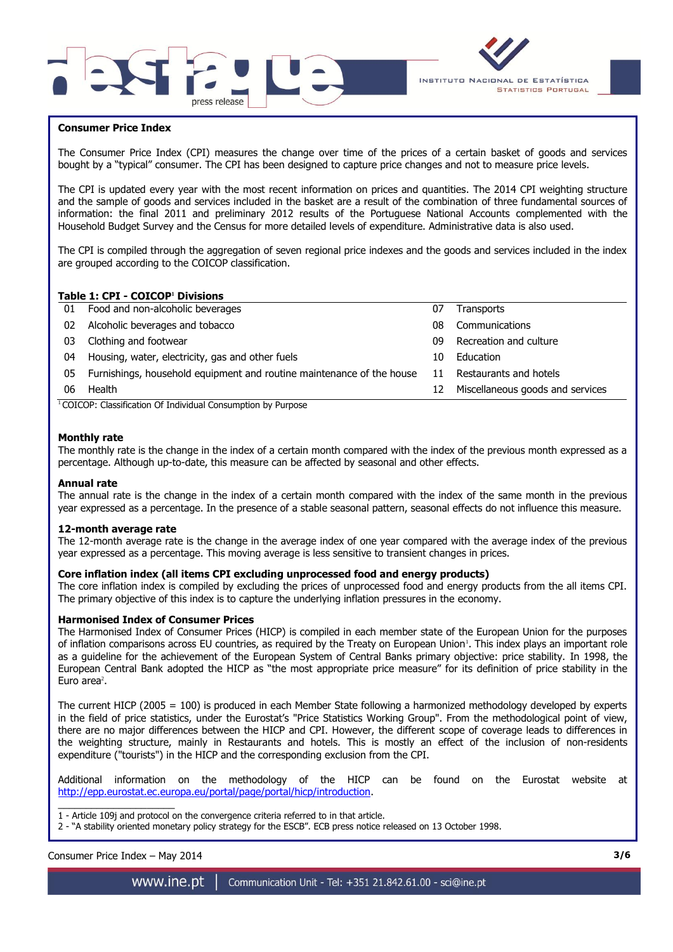



# **Consumer Price Index**

The Consumer Price Index (CPI) measures the change over time of the prices of a certain basket of goods and services bought by a "typical" consumer. The CPI has been designed to capture price changes and not to measure price levels.

The CPI is updated every year with the most recent information on prices and quantities. The 2014 CPI weighting structure and the sample of goods and services included in the basket are a result of the combination of three fundamental sources of information: the final 2011 and preliminary 2012 results of the Portuguese National Accounts complemented with the Household Budget Survey and the Census for more detailed levels of expenditure. Administrative data is also used.

The CPI is compiled through the aggregation of seven regional price indexes and the goods and services included in the index are grouped according to the COICOP classification.

# **Table 1: CPI - COICOP<sup>1</sup> Divisions**

| 01 | Food and non-alcoholic beverages                                      | 07 | <b>Transports</b>                |
|----|-----------------------------------------------------------------------|----|----------------------------------|
| 02 | Alcoholic beverages and tobacco                                       | 08 | Communications                   |
| 03 | Clothing and footwear                                                 | 09 | Recreation and culture           |
| 04 | Housing, water, electricity, gas and other fuels                      | 10 | Education                        |
| 05 | Furnishings, household equipment and routine maintenance of the house | 11 | Restaurants and hotels           |
| 06 | Health                                                                | 12 | Miscellaneous goods and services |
|    |                                                                       |    |                                  |

<sup>1</sup> COICOP: Classification Of Individual Consumption by Purpose

### **Monthly rate**

The monthly rate is the change in the index of a certain month compared with the index of the previous month expressed as a percentage. Although up-to-date, this measure can be affected by seasonal and other effects.

#### **Annual rate**

The annual rate is the change in the index of a certain month compared with the index of the same month in the previous year expressed as a percentage. In the presence of a stable seasonal pattern, seasonal effects do not influence this measure.

#### **12-month average rate**

The 12-month average rate is the change in the average index of one year compared with the average index of the previous year expressed as a percentage. This moving average is less sensitive to transient changes in prices.

#### **Core inflation index (all items CPI excluding unprocessed food and energy products)**

The core inflation index is compiled by excluding the prices of unprocessed food and energy products from the all items CPI. The primary objective of this index is to capture the underlying inflation pressures in the economy.

#### **Harmonised Index of Consumer Prices**

The Harmonised Index of Consumer Prices (HICP) is compiled in each member state of the European Union for the purposes of inflation comparisons across EU countries, as required by the Treaty on European Union<sup>1</sup>. This index plays an important role as a guideline for the achievement of the European System of Central Banks primary objective: price stability. In 1998, the European Central Bank adopted the HICP as "the most appropriate price measure" for its definition of price stability in the Euro area $2$ .

The current HICP (2005 = 100) is produced in each Member State following a harmonized methodology developed by experts in the field of price statistics, under the Eurostat's "Price Statistics Working Group". From the methodological point of view, there are no major differences between the HICP and CPI. However, the different scope of coverage leads to differences in the weighting structure, mainly in Restaurants and hotels. This is mostly an effect of the inclusion of non-residents expenditure ("tourists") in the HICP and the corresponding exclusion from the CPI.

Additional information on the methodology of the HICP can be found on the Eurostat website at [http://epp.eurostat.ec.europa.eu/portal/page/portal/hicp/introduction.](http://epp.eurostat.ec.europa.eu/portal/page/portal/hicp/introduction)

 $\overline{\phantom{a}}$  , where  $\overline{\phantom{a}}$ 1 - Article 109j and protocol on the convergence criteria referred to in that article.

2 - "A stability oriented monetary policy strategy for the ESCB". ECB press notice released on 13 October 1998.

Consumer Price Index – May 2014 **3/6**

www.ine.pt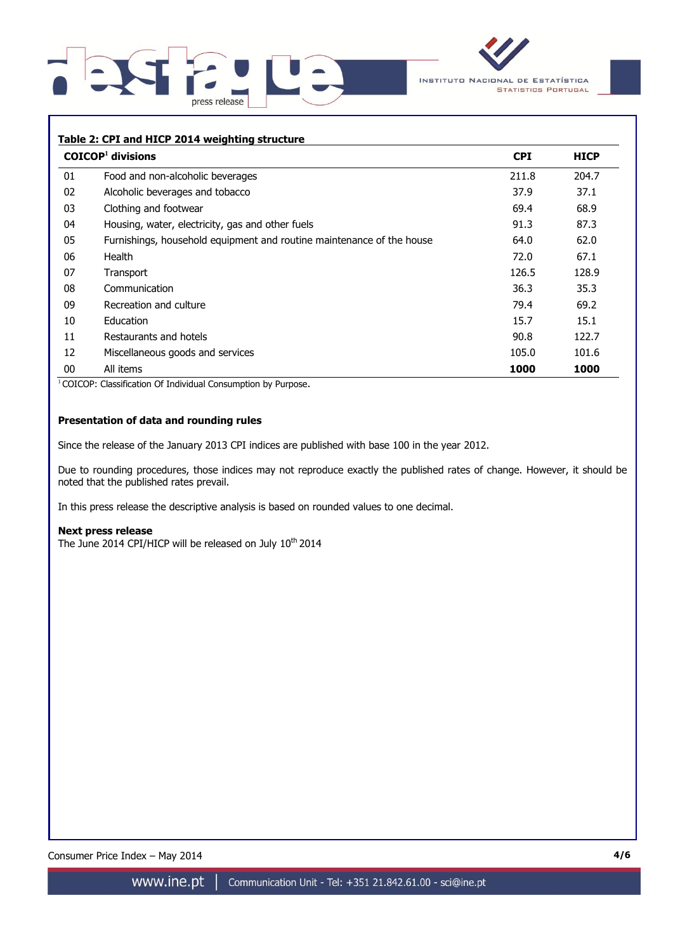



# **Table 2: CPI and HICP 2014 weighting structure**

|    | $COICOP1$ divisions                                                   | <b>CPI</b> | <b>HICP</b> |
|----|-----------------------------------------------------------------------|------------|-------------|
| 01 | Food and non-alcoholic beverages                                      | 211.8      | 204.7       |
| 02 | Alcoholic beverages and tobacco                                       | 37.9       | 37.1        |
| 03 | Clothing and footwear                                                 | 69.4       | 68.9        |
| 04 | Housing, water, electricity, gas and other fuels                      | 91.3       | 87.3        |
| 05 | Furnishings, household equipment and routine maintenance of the house | 64.0       | 62.0        |
| 06 | Health                                                                | 72.0       | 67.1        |
| 07 | Transport                                                             | 126.5      | 128.9       |
| 08 | Communication                                                         | 36.3       | 35.3        |
| 09 | Recreation and culture                                                | 79.4       | 69.2        |
| 10 | Education                                                             | 15.7       | 15.1        |
| 11 | Restaurants and hotels                                                | 90.8       | 122.7       |
| 12 | Miscellaneous goods and services                                      | 105.0      | 101.6       |
| 00 | All items                                                             | 1000       | 1000        |

<sup>1</sup> COICOP: Classification Of Individual Consumption by Purpose.

# **Presentation of data and rounding rules**

Since the release of the January 2013 CPI indices are published with base 100 in the year 2012.

Due to rounding procedures, those indices may not reproduce exactly the published rates of change. However, it should be noted that the published rates prevail.

In this press release the descriptive analysis is based on rounded values to one decimal.

#### **Next press release**

The June 2014 CPI/HICP will be released on July 10<sup>th</sup> 2014

Consumer Price Index - May 2014

www.ine.pt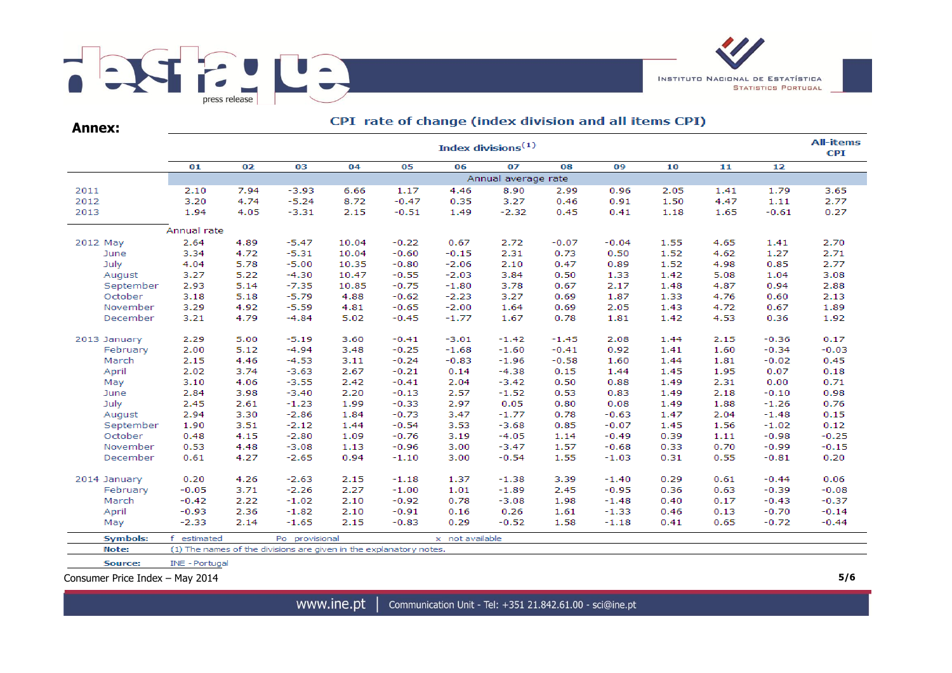



| <b>Annex:</b>   |                       | CFI Tate of change (muck division and an items CFI)<br><b>All-items</b> |                                                                    |       |         |                 |                     |                 |         |      |      |         |         |  |  |
|-----------------|-----------------------|-------------------------------------------------------------------------|--------------------------------------------------------------------|-------|---------|-----------------|---------------------|-----------------|---------|------|------|---------|---------|--|--|
|                 | Index divisions $(1)$ |                                                                         |                                                                    |       |         |                 |                     |                 |         |      |      |         |         |  |  |
|                 | 01                    | 02                                                                      | 03                                                                 | 04    | 05      | 06              | 07                  | 08              | 09      | 10   | 11   | 12      |         |  |  |
|                 |                       |                                                                         |                                                                    |       |         |                 | Annual average rate |                 |         |      |      |         |         |  |  |
| 2011            | 2.10                  | 7.94                                                                    | $-3.93$                                                            | 6.66  | 1.17    | 4.46            | 8.90                | 2.99            | 0.96    | 2.05 | 1.41 | 1.79    | 3.65    |  |  |
| 2012            | 3.20                  | 4.74                                                                    | $-5.24$                                                            | 8.72  | $-0.47$ | 0.35            | 3.27                | 0.46            | 0.91    | 1.50 | 4.47 | 1.11    | 2.77    |  |  |
| 2013            | 1.94                  | 4.05                                                                    | $-3.31$                                                            | 2.15  | $-0.51$ | 1.49            | $-2.32$             | 0.45            | 0.41    | 1.18 | 1.65 | $-0.61$ | 0.27    |  |  |
|                 | Annual rate           |                                                                         |                                                                    |       |         |                 |                     |                 |         |      |      |         |         |  |  |
| 2012 May        | 2.64                  | 4.89                                                                    | $-5.47$                                                            | 10.04 | $-0.22$ | 0.67            | 2.72                | $-0.07$         | $-0.04$ | 1.55 | 4.65 | 1.41    | 2.70    |  |  |
| June            | 3.34                  | 4.72                                                                    | $-5.31$                                                            | 10.04 | $-0.60$ | $-0.15$         | 2.31                | 0.73            | 0.50    | 1.52 | 4.62 | 1.27    | 2.71    |  |  |
| July            | 4.04                  | 5.78                                                                    | $-5.00$                                                            | 10.35 | $-0.80$ | $-2.06$         | 2.10                | 0.47            | 0.89    | 1.52 | 4.98 | 0.85    | 2.77    |  |  |
| August          | 3.27                  | 5.22                                                                    | $-4.30$                                                            | 10.47 | $-0.55$ | $-2.03$         | 3.84                | 0.50            | 1.33    | 1.42 | 5.08 | 1.04    | 3.08    |  |  |
| September       | 2.93                  | 5.14                                                                    | $-7.35$                                                            | 10.85 | $-0.75$ | $-1.80$         | 3.78                | 0.67            | 2.17    | 1.48 | 4.87 | 0.94    | 2.88    |  |  |
| October         | 3.18                  | 5.18                                                                    | $-5.79$                                                            | 4.88  | $-0.62$ | $-2.23$         | 3.27                | 0.69            | 1.87    | 1.33 | 4.76 | 0.60    | 2.13    |  |  |
| November        | 3.29                  | 4.92                                                                    | $-5.59$                                                            | 4.81  | $-0.65$ | $-2.00$         | 1.64                | 0.69            | 2.05    | 1.43 | 4.72 | 0.67    | 1.89    |  |  |
| December        | 3.21                  | 4.79                                                                    | $-4.84$                                                            | 5.02  | $-0.45$ | $-1.77$         | 1.67                | 0.78            | 1.81    | 1.42 | 4.53 | 0.36    | 1.92    |  |  |
| 2013 January    | 2.29                  | 5.00                                                                    | $-5.19$                                                            | 3.60  | $-0.41$ | $-3.01$         | $-1.42$             | $-1.45$         | 2.08    | 1.44 | 2.15 | $-0.36$ | 0.17    |  |  |
| February        | 2.00                  | 5.12                                                                    | $-4.94$                                                            | 3.48  | $-0.25$ | $-1.68$         | $-1.60$             | $-0.41$         | 0.92    | 1.41 | 1.60 | $-0.34$ | $-0.03$ |  |  |
| March           | 2.15                  | 4.46                                                                    | $-4.53$                                                            | 3.11  | $-0.24$ | $-0.83$         | $-1.96$             | $-0.58$         | 1.60    | 1.44 | 1.81 | $-0.02$ | 0.45    |  |  |
| April           | 2.02                  | 3.74                                                                    | $-3.63$                                                            | 2.67  | $-0.21$ | 0.14            | $-4.38$             | 0.15            | 1.44    | 1.45 | 1.95 | 0.07    | 0.18    |  |  |
| May             | 3.10                  | 4.06                                                                    | $-3.55$                                                            | 2.42  | $-0.41$ | 2.04            | $-3.42$             | 0.50            | 0.88    | 1.49 | 2.31 | 0.00    | 0.71    |  |  |
| June            | 2.84                  | 3.98                                                                    | $-3.40$                                                            | 2.20  | $-0.13$ | 2.57            | $-1.52$             | 0.53            | 0.83    | 1.49 | 2.18 | $-0.10$ | 0.98    |  |  |
| July            | 2.45                  | 2.61                                                                    | $-1.23$                                                            | 1.99  | $-0.33$ | 2.97            | 0.05                | 0.80            | 0.08    | 1.49 | 1.88 | $-1.26$ | 0.76    |  |  |
| August          | 2.94                  | 3.30                                                                    | $-2.86$                                                            | 1.84  | $-0.73$ | 3.47            | $-1.77$             | 0.78            | $-0.63$ | 1.47 | 2.04 | $-1.48$ | 0.15    |  |  |
| September       | 1.90                  | 3.51                                                                    | $-2.12$                                                            | 1.44  | $-0.54$ | 3.53            | $-3.68$             | 0.85            | $-0.07$ | 1.45 | 1.56 | $-1.02$ | 0.12    |  |  |
| October         | 0.48                  | 4.15                                                                    | $-2.80$                                                            | 1.09  | $-0.76$ | 3.19            | $-4.05$             | 1.14            | $-0.49$ | 0.39 | 1.11 | $-0.98$ | $-0.25$ |  |  |
| November        | 0.53                  | 4.48                                                                    | $-3.08$                                                            | 1.13  | $-0.96$ | 3.00            | $-3.47$             | 1.57<br>$-0.68$ |         | 0.33 | 0.70 | $-0.99$ | $-0.15$ |  |  |
| December        | 0.61                  | 4.27                                                                    | $-2.65$                                                            | 0.94  | $-1.10$ | 3.00            | $-0.54$             | 1.55            | $-1.03$ | 0.31 | 0.55 | $-0.81$ | 0.20    |  |  |
| 2014 January    | 0.20                  | 4.26                                                                    | $-2.63$                                                            | 2.15  | $-1.18$ | 1.37            | $-1.38$             | 3.39            | $-1.40$ | 0.29 | 0.61 | $-0.44$ | 0.06    |  |  |
| February        | $-0.05$               | 3.71                                                                    | $-2.26$                                                            | 2.27  | $-1.00$ | 1.01            | $-1.89$             | 2.45            | $-0.95$ | 0.36 | 0.63 | $-0.39$ | $-0.08$ |  |  |
| March           | $-0.42$               | 2.22                                                                    | $-1.02$                                                            | 2.10  | $-0.92$ | 0.78            | $-3.08$             | 1.98            | $-1.48$ | 0.40 | 0.17 | $-0.43$ | $-0.37$ |  |  |
| April           | $-0.93$               | 2.36                                                                    | $-1.82$                                                            | 2.10  | $-0.91$ | 0.16            | 0.26                | 1.61            | $-1.33$ | 0.46 | 0.13 | $-0.70$ | $-0.14$ |  |  |
| May             | $-2.33$               | 2.14                                                                    | $-1.65$                                                            | 2.15  | $-0.83$ | 0.29            | $-0.52$             | 1.58            | $-1.18$ | 0.41 | 0.65 | $-0.72$ | $-0.44$ |  |  |
| <b>Symbols:</b> | f estimated           |                                                                         | Po provisional                                                     |       |         | x not available |                     |                 |         |      |      |         |         |  |  |
| Note:           |                       |                                                                         | (1) The names of the divisions are given in the explanatory notes. |       |         |                 |                     |                 |         |      |      |         |         |  |  |
| Source:         | <b>INE - Portugal</b> |                                                                         |                                                                    |       |         |                 |                     |                 |         |      |      |         |         |  |  |

# CPI rate of change (index division and all items CPI)

Consumer Price Index – May 2014 **5/6**